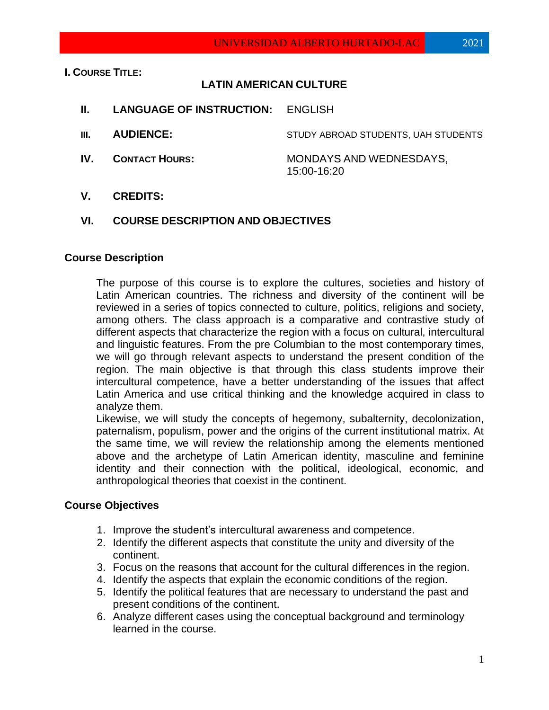**I. COURSE TITLE:**

## **LATIN AMERICAN CULTURE**

- **II. LANGUAGE OF INSTRUCTION:** ENGLISH
- **III. AUDIENCE:** STUDY ABROAD STUDENTS, UAH STUDENTS
- **IV. CONTACT HOURS: MONDAYS AND WEDNESDAYS,** 15:00-16:20
- **V. CREDITS:**

### **VI. COURSE DESCRIPTION AND OBJECTIVES**

#### **Course Description**

The purpose of this course is to explore the cultures, societies and history of Latin American countries. The richness and diversity of the continent will be reviewed in a series of topics connected to culture, politics, religions and society, among others. The class approach is a comparative and contrastive study of different aspects that characterize the region with a focus on cultural, intercultural and linguistic features. From the pre Columbian to the most contemporary times, we will go through relevant aspects to understand the present condition of the region. The main objective is that through this class students improve their intercultural competence, have a better understanding of the issues that affect Latin America and use critical thinking and the knowledge acquired in class to analyze them.

Likewise, we will study the concepts of hegemony, subalternity, decolonization, paternalism, populism, power and the origins of the current institutional matrix. At the same time, we will review the relationship among the elements mentioned above and the archetype of Latin American identity, masculine and feminine identity and their connection with the political, ideological, economic, and anthropological theories that coexist in the continent.

#### **Course Objectives**

- 1. Improve the student's intercultural awareness and competence.
- 2. Identify the different aspects that constitute the unity and diversity of the continent.
- 3. Focus on the reasons that account for the cultural differences in the region.
- 4. Identify the aspects that explain the economic conditions of the region.
- 5. Identify the political features that are necessary to understand the past and present conditions of the continent.
- 6. Analyze different cases using the conceptual background and terminology learned in the course.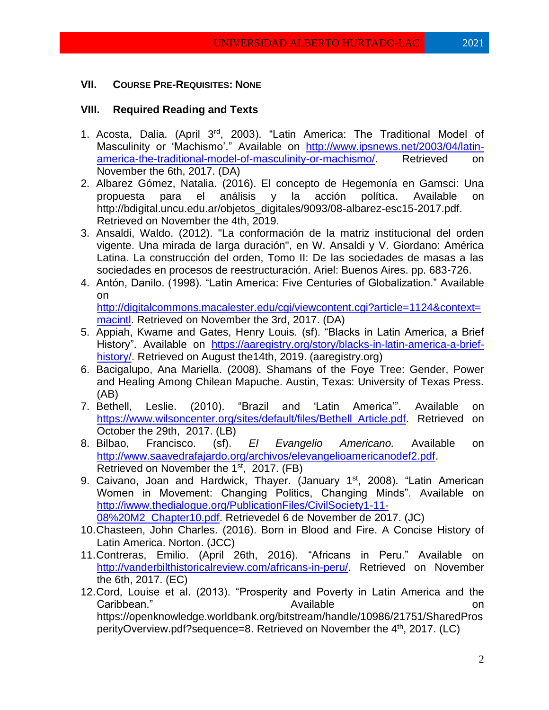## **VII. COURSE PRE-REQUISITES: NONE**

## **VIII. Required Reading and Texts**

- 1. Acosta, Dalia. (April 3rd, 2003). "Latin America: The Traditional Model of Masculinity or 'Machismo'." Available on [http://www.ipsnews.net/2003/04/latin](http://www.ipsnews.net/2003/04/latin-america-the-traditional-model-of-masculinity-or-machismo/)[america-the-traditional-model-of-masculinity-or-machismo/.](http://www.ipsnews.net/2003/04/latin-america-the-traditional-model-of-masculinity-or-machismo/) Retrieved on November the 6th, 2017. (DA)
- 2. Albarez Gómez, Natalia. (2016). El concepto de Hegemonía en Gamsci: Una propuesta para el análisis y la acción política. Available on http://bdigital.uncu.edu.ar/objetos\_digitales/9093/08-albarez-esc15-2017.pdf. Retrieved on November the 4th, 2019.
- 3. Ansaldi, Waldo. (2012). "La conformación de la matriz institucional del orden vigente. Una mirada de larga duración", en W. Ansaldi y V. Giordano: América Latina. La construcción del orden, Tomo II: De las sociedades de masas a las sociedades en procesos de reestructuración. Ariel: Buenos Aires. pp. 683-726.
- 4. Antón, Danilo. (1998). "Latin America: Five Centuries of Globalization." Available on

[http://digitalcommons.macalester.edu/cgi/viewcontent.cgi?article=1124&context=](http://digitalcommons.macalester.edu/cgi/viewcontent.cgi?article=1124&context=macintl) [macintl.](http://digitalcommons.macalester.edu/cgi/viewcontent.cgi?article=1124&context=macintl) Retrieved on November the 3rd, 2017. (DA)

- 5. Appiah, Kwame and Gates, Henry Louis. (sf). "Blacks in Latin America, a Brief History". Available on [https://aaregistry.org/story/blacks-in-latin-america-a-brief](https://aaregistry.org/story/blacks-in-latin-america-a-brief-history/)[history/.](https://aaregistry.org/story/blacks-in-latin-america-a-brief-history/) Retrieved on August the14th, 2019. (aaregistry.org)
- 6. Bacigalupo, Ana Mariella. (2008). Shamans of the Foye Tree: Gender, Power and Healing Among Chilean Mapuche. Austin, Texas: University of Texas Press. (AB)
- 7. Bethell, Leslie. (2010). "Brazil and 'Latin America'". Available on [https://www.wilsoncenter.org/sites/default/files/Bethell\\_Article.pdf.](https://www.wilsoncenter.org/sites/default/files/Bethell_Article.pdf) Retrieved on October the 29th, 2017. (LB)
- 8. Bilbao, Francisco. (sf). *El Evangelio Americano.* Available on [http://www.saavedrafajardo.org/archivos/elevangelioamericanodef2.pdf.](http://www.saavedrafajardo.org/archivos/elevangelioamericanodef2.pdf) Retrieved on November the 1<sup>st</sup>, 2017. (FB)
- 9. Caivano, Joan and Hardwick, Thayer. (January 1<sup>st</sup>, 2008). "Latin American Women in Movement: Changing Politics, Changing Minds". Available on [http://iwww.thedialogue.org/PublicationFiles/CivilSociety1-11-](http://iwww.thedialogue.org/PublicationFiles/CivilSociety1-11-08%20M2_Chapter10.pdf)

[08%20M2\\_Chapter10.pdf.](http://iwww.thedialogue.org/PublicationFiles/CivilSociety1-11-08%20M2_Chapter10.pdf) Retrievedel 6 de November de 2017. (JC)

- 10.Chasteen, John Charles. (2016). Born in Blood and Fire. A Concise History of Latin America. Norton. (JCC)
- 11.Contreras, Emilio. (April 26th, 2016). "Africans in Peru." Available on [http://vanderbilthistoricalreview.com/africans-in-peru/.](http://vanderbilthistoricalreview.com/africans-in-peru/) Retrieved on November the 6th, 2017. (EC)
- 12.Cord, Louise et al. (2013). "Prosperity and Poverty in Latin America and the Caribbean." Available on https://openknowledge.worldbank.org/bitstream/handle/10986/21751/SharedPros perityOverview.pdf?sequence=8. Retrieved on November the 4<sup>th</sup>, 2017. (LC)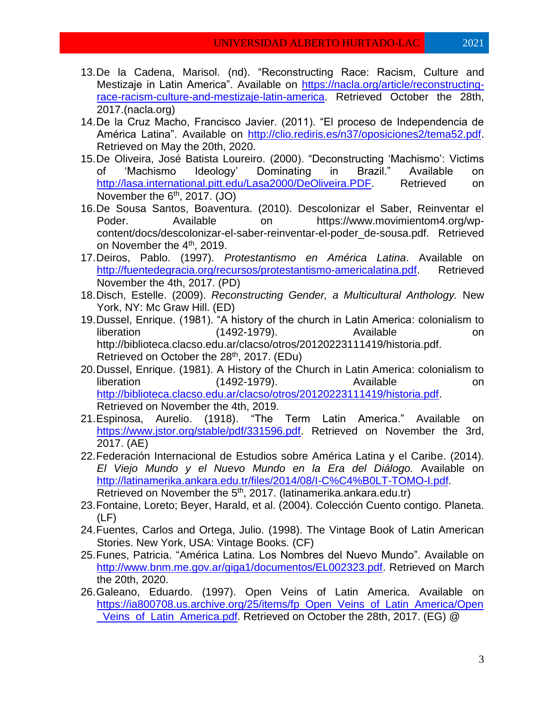- 13.De la Cadena, Marisol. (nd). "Reconstructing Race: Racism, Culture and Mestizaje in Latin America". Available on [https://nacla.org/article/reconstructing](https://nacla.org/article/reconstructing-race-racism-culture-and-mestizaje-latin-america)[race-racism-culture-and-mestizaje-latin-america.](https://nacla.org/article/reconstructing-race-racism-culture-and-mestizaje-latin-america) Retrieved October the 28th, 2017.(nacla.org)
- 14.De la Cruz Macho, Francisco Javier. (2011). "El proceso de Independencia de América Latina". Available on [http://clio.rediris.es/n37/oposiciones2/tema52.pdf.](http://clio.rediris.es/n37/oposiciones2/tema52.pdf) Retrieved on May the 20th, 2020.
- 15.De Oliveira, José Batista Loureiro. (2000). "Deconstructing 'Machismo': Victims of 'Machismo Ideology' Dominating in Brazil." Available on http://lasa.international.pitt.edu/Lasa2000/DeOliveira.PDF Retrieved on November the  $6<sup>th</sup>$ , 2017. (JO)
- 16.De Sousa Santos, Boaventura. (2010). Descolonizar el Saber, Reinventar el Poder. Available on https://www.movimientom4.org/wpcontent/docs/descolonizar-el-saber-reinventar-el-poder\_de-sousa.pdf. Retrieved on November the 4<sup>th</sup>, 2019.
- 17.Deiros, Pablo. (1997). *Protestantismo en América Latina*. Available on [http://fuentedegracia.org/recursos/protestantismo-americalatina.pdf.](http://fuentedegracia.org/recursos/protestantismo-americalatina.pdf) Retrieved November the 4th, 2017. (PD)
- 18.Disch, Estelle. (2009). *Reconstructing Gender, a Multicultural Anthology.* New York, NY: Mc Graw Hill. (ED)
- 19.Dussel, Enrique. (1981). "A history of the church in Latin America: colonialism to liberation (1492-1979). Available on http://biblioteca.clacso.edu.ar/clacso/otros/20120223111419/historia.pdf. Retrieved on October the 28<sup>th</sup>, 2017. (EDu)
- 20.Dussel, Enrique. (1981). A History of the Church in Latin America: colonialism to liberation (1492-1979). Available on [http://biblioteca.clacso.edu.ar/clacso/otros/20120223111419/historia.pdf.](http://biblioteca.clacso.edu.ar/clacso/otros/20120223111419/historia.pdf) Retrieved on November the 4th, 2019.
- 21.Espinosa, Aurelio. (1918). "The Term Latin America." Available on [https://www.jstor.org/stable/pdf/331596.pdf.](https://www.jstor.org/stable/pdf/331596.pdf) Retrieved on November the 3rd, 2017. (AE)
- 22.Federación Internacional de Estudios sobre América Latina y el Caribe. (2014). *El Viejo Mundo y el Nuevo Mundo en la Era del Diálogo.* Available on [http://latinamerika.ankara.edu.tr/files/2014/08/I-C%C4%B0LT-TOMO-I.pdf.](http://latinamerika.ankara.edu.tr/files/2014/08/I-C%C4%B0LT-TOMO-I.pdf) Retrieved on November the 5<sup>th</sup>, 2017. (latinamerika.ankara.edu.tr)
- 23.Fontaine, Loreto; Beyer, Harald, et al. (2004). Colección Cuento contigo. Planeta. (LF)
- 24.Fuentes, Carlos and Ortega, Julio. (1998). The Vintage Book of Latin American Stories. New York, USA: Vintage Books. (CF)
- 25.Funes, Patricia. "América Latina. Los Nombres del Nuevo Mundo". Available on [http://www.bnm.me.gov.ar/giga1/documentos/EL002323.pdf.](http://www.bnm.me.gov.ar/giga1/documentos/EL002323.pdf) Retrieved on March the 20th, 2020.
- 26.Galeano, Eduardo. (1997). Open Veins of Latin America. Available on [https://ia800708.us.archive.org/25/items/fp\\_Open\\_Veins\\_of\\_Latin\\_America/Open](https://ia800708.us.archive.org/25/items/fp_Open_Veins_of_Latin_America/Open_Veins_of_Latin_America.pdf) [\\_Veins\\_of\\_Latin\\_America.pdf.](https://ia800708.us.archive.org/25/items/fp_Open_Veins_of_Latin_America/Open_Veins_of_Latin_America.pdf) Retrieved on October the 28th, 2017. (EG) @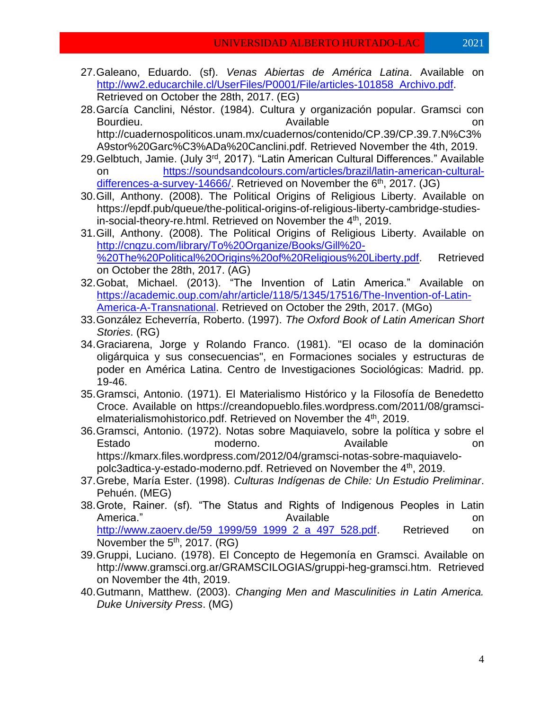- 27.Galeano, Eduardo. (sf). *Venas Abiertas de América Latina*. Available on [http://ww2.educarchile.cl/UserFiles/P0001/File/articles-101858\\_Archivo.pdf.](http://ww2.educarchile.cl/UserFiles/P0001/File/articles-101858_Archivo.pdf) Retrieved on October the 28th, 2017. (EG)
- 28.García Canclini, Néstor. (1984). Cultura y organización popular. Gramsci con Bourdieu. Available on http://cuadernospoliticos.unam.mx/cuadernos/contenido/CP.39/CP.39.7.N%C3% A9stor%20Garc%C3%ADa%20Canclini.pdf. Retrieved November the 4th, 2019.
- 29. Gelbtuch, Jamie. (July 3<sup>rd</sup>, 2017). "Latin American Cultural Differences." Available on [https://soundsandcolours.com/articles/brazil/latin-american-cultural](https://soundsandcolours.com/articles/brazil/latin-american-cultural-differences-a-survey-14666/)[differences-a-survey-14666/.](https://soundsandcolours.com/articles/brazil/latin-american-cultural-differences-a-survey-14666/) Retrieved on November the 6<sup>th</sup>, 2017. (JG)
- 30.Gill, Anthony. (2008). The Political Origins of Religious Liberty. Available on https://epdf.pub/queue/the-political-origins-of-religious-liberty-cambridge-studiesin-social-theory-re.html. Retrieved on November the 4<sup>th</sup>, 2019.
- 31.Gill, Anthony. (2008). The Political Origins of Religious Liberty. Available on [http://cnqzu.com/library/To%20Organize/Books/Gill%20-](http://cnqzu.com/library/To%20Organize/Books/Gill%20-%20The%20Political%20Origins%20of%20Religious%20Liberty.pdf) [%20The%20Political%20Origins%20of%20Religious%20Liberty.pdf.](http://cnqzu.com/library/To%20Organize/Books/Gill%20-%20The%20Political%20Origins%20of%20Religious%20Liberty.pdf) Retrieved on October the 28th, 2017. (AG)
- 32.Gobat, Michael. (2013). "The Invention of Latin America." Available on [https://academic.oup.com/ahr/article/118/5/1345/17516/The-Invention-of-Latin-](https://academic.oup.com/ahr/article/118/5/1345/17516/The-Invention-of-Latin-America-A-Transnational)[America-A-Transnational.](https://academic.oup.com/ahr/article/118/5/1345/17516/The-Invention-of-Latin-America-A-Transnational) Retrieved on October the 29th, 2017. (MGo)
- 33.González Echeverría, Roberto. (1997). *The Oxford Book of Latin American Short Stories*. (RG)
- 34.Graciarena, Jorge y Rolando Franco. (1981). "El ocaso de la dominación oligárquica y sus consecuencias", en Formaciones sociales y estructuras de poder en América Latina. Centro de Investigaciones Sociológicas: Madrid. pp. 19-46.
- 35.Gramsci, Antonio. (1971). El Materialismo Histórico y la Filosofía de Benedetto Croce. Available on https://creandopueblo.files.wordpress.com/2011/08/gramscielmaterialismohistorico.pdf. Retrieved on November the 4<sup>th</sup>, 2019.
- 36.Gramsci, Antonio. (1972). Notas sobre Maquiavelo, sobre la política y sobre el Estado **moderno**. Available on https://kmarx.files.wordpress.com/2012/04/gramsci-notas-sobre-maquiavelopolc3adtica-y-estado-moderno.pdf. Retrieved on November the 4<sup>th</sup>, 2019.
- 37.Grebe, María Ester. (1998). *Culturas Indígenas de Chile: Un Estudio Preliminar*. Pehuén. (MEG)
- 38.Grote, Rainer. (sf). "The Status and Rights of Indigenous Peoples in Latin America." and a set of the Available contracts on the Available contracts on the on [http://www.zaoerv.de/59\\_1999/59\\_1999\\_2\\_a\\_497\\_528.pdf.](http://www.zaoerv.de/59_1999/59_1999_2_a_497_528.pdf) Retrieved on November the  $5<sup>th</sup>$ , 2017. (RG)
- 39.Gruppi, Luciano. (1978). El Concepto de Hegemonía en Gramsci. Available on http://www.gramsci.org.ar/GRAMSCILOGIAS/gruppi-heg-gramsci.htm. Retrieved on November the 4th, 2019.
- 40.Gutmann, Matthew. (2003). *Changing Men and Masculinities in Latin America. Duke University Press*. (MG)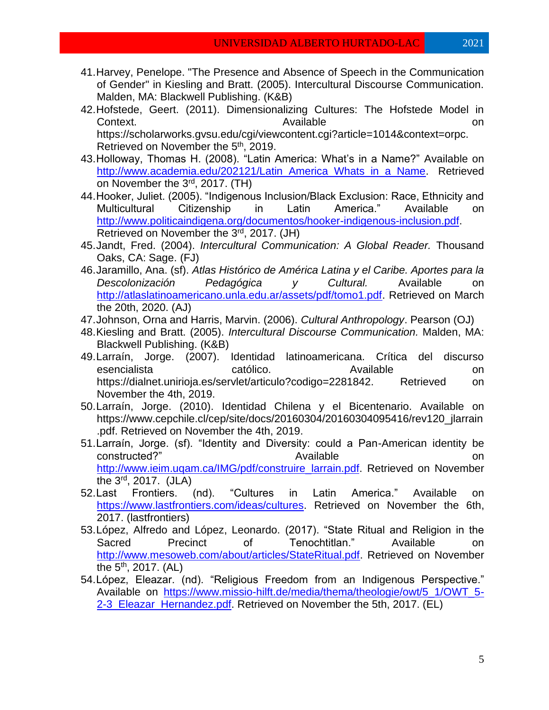- 41.Harvey, Penelope. "The Presence and Absence of Speech in the Communication of Gender" in Kiesling and Bratt. (2005). Intercultural Discourse Communication. Malden, MA: Blackwell Publishing. (K&B)
- 42.Hofstede, Geert. (2011). Dimensionalizing Cultures: The Hofstede Model in Context. Context and the context of the context of the context of the context of the context of the context of the context of the context of the context of the context of the context of the context of the context of the co https://scholarworks.gvsu.edu/cgi/viewcontent.cgi?article=1014&context=orpc. Retrieved on November the 5<sup>th</sup>, 2019.
- 43.Holloway, Thomas H. (2008). "Latin America: What's in a Name?" Available on [http://www.academia.edu/202121/Latin\\_America\\_Whats\\_in\\_a\\_Name.](http://www.academia.edu/202121/Latin_America_Whats_in_a_Name) Retrieved on November the 3<sup>rd</sup>, 2017. (TH)
- 44.Hooker, Juliet. (2005). "Indigenous Inclusion/Black Exclusion: Race, Ethnicity and Multicultural Citizenship in Latin America." Available on [http://www.politicaindigena.org/documentos/hooker-indigenous-inclusion.pdf.](http://www.politicaindigena.org/documentos/hooker-indigenous-inclusion.pdf) Retrieved on November the 3<sup>rd</sup>, 2017. (JH)
- 45.Jandt, Fred. (2004). *Intercultural Communication: A Global Reader.* Thousand Oaks, CA: Sage. (FJ)
- 46.Jaramillo, Ana. (sf). *Atlas Histórico de América Latina y el Caribe. Aportes para la Descolonización Pedagógica y Cultural.* Available on [http://atlaslatinoamericano.unla.edu.ar/assets/pdf/tomo1.pdf.](http://atlaslatinoamericano.unla.edu.ar/assets/pdf/tomo1.pdf) Retrieved on March the 20th, 2020. (AJ)
- 47.Johnson, Orna and Harris, Marvin. (2006). *Cultural Anthropology*. Pearson (OJ)
- 48.Kiesling and Bratt. (2005). *Intercultural Discourse Communication.* Malden, MA: Blackwell Publishing. (K&B)
- 49.Larraín, Jorge. (2007). Identidad latinoamericana. Crítica del discurso esencialista católico. Available on https://dialnet.unirioja.es/servlet/articulo?codigo=2281842. Retrieved on November the 4th, 2019.
- 50.Larraín, Jorge. (2010). Identidad Chilena y el Bicentenario. Available on https://www.cepchile.cl/cep/site/docs/20160304/20160304095416/rev120\_jlarrain .pdf. Retrieved on November the 4th, 2019.
- 51.Larraín, Jorge. (sf). "Identity and Diversity: could a Pan-American identity be constructed?" Available on [http://www.ieim.uqam.ca/IMG/pdf/construire\\_larrain.pdf.](http://www.ieim.uqam.ca/IMG/pdf/construire_larrain.pdf) Retrieved on November the 3rd , 2017. (JLA)
- 52.Last Frontiers. (nd). "Cultures in Latin America." Available on [https://www.lastfrontiers.com/ideas/cultures.](https://www.lastfrontiers.com/ideas/cultures) Retrieved on November the 6th, 2017. (lastfrontiers)
- 53.López, Alfredo and López, Leonardo. (2017). "State Ritual and Religion in the Sacred Precinct of Tenochtitlan." Available on [http://www.mesoweb.com/about/articles/StateRitual.pdf.](http://www.mesoweb.com/about/articles/StateRitual.pdf) Retrieved on November the 5<sup>th</sup>, 2017. (AL)
- 54.López, Eleazar. (nd). "Religious Freedom from an Indigenous Perspective." Available on [https://www.missio-hilft.de/media/thema/theologie/owt/5\\_1/OWT\\_5-](https://www.missio-hilft.de/media/thema/theologie/owt/5_1/OWT_5-2-3_Eleazar_Hernandez.pdf) 2-3 Eleazar Hernandez.pdf. Retrieved on November the 5th, 2017. (EL)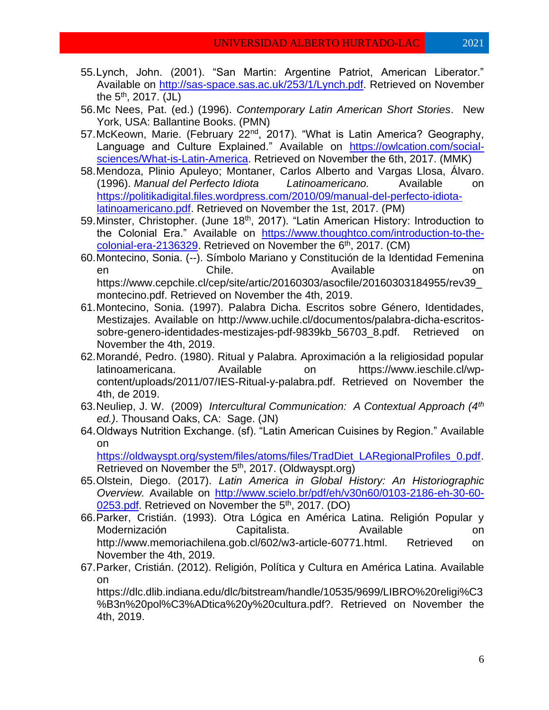- 55.Lynch, John. (2001). "San Martin: Argentine Patriot, American Liberator." Available on [http://sas-space.sas.ac.uk/253/1/Lynch.pdf.](http://sas-space.sas.ac.uk/253/1/Lynch.pdf) Retrieved on November the 5<sup>th</sup>, 2017. (JL)
- 56.Mc Nees, Pat. (ed.) (1996). *Contemporary Latin American Short Stories*. New York, USA: Ballantine Books. (PMN)
- 57. McKeown, Marie. (February 22<sup>nd</sup>, 2017). "What is Latin America? Geography, Language and Culture Explained." Available on [https://owlcation.com/social](https://owlcation.com/social-sciences/What-is-Latin-America)[sciences/What-is-Latin-America.](https://owlcation.com/social-sciences/What-is-Latin-America) Retrieved on November the 6th, 2017. (MMK)
- 58.Mendoza, Plinio Apuleyo; Montaner, Carlos Alberto and Vargas Llosa, Álvaro. (1996). *Manual del Perfecto Idiota Latinoamericano.* Available on [https://politikadigital.files.wordpress.com/2010/09/manual-del-perfecto-idiota](https://politikadigital.files.wordpress.com/2010/09/manual-del-perfecto-idiota-latinoamericano.pdf)[latinoamericano.pdf.](https://politikadigital.files.wordpress.com/2010/09/manual-del-perfecto-idiota-latinoamericano.pdf) Retrieved on November the 1st, 2017. (PM)
- 59. Minster, Christopher. (June 18<sup>th</sup>, 2017). "Latin American History: Introduction to the Colonial Era." Available on [https://www.thoughtco.com/introduction-to-the](https://www.thoughtco.com/introduction-to-the-colonial-era-2136329)[colonial-era-2136329.](https://www.thoughtco.com/introduction-to-the-colonial-era-2136329) Retrieved on November the 6<sup>th</sup>, 2017. (CM)
- 60.Montecino, Sonia. (--). Símbolo Mariano y Constitución de la Identidad Femenina en and Chile. Available on the Chile. https://www.cepchile.cl/cep/site/artic/20160303/asocfile/20160303184955/rev39\_ montecino.pdf. Retrieved on November the 4th, 2019.
- 61.Montecino, Sonia. (1997). Palabra Dicha. Escritos sobre Género, Identidades, Mestizajes. Available on http://www.uchile.cl/documentos/palabra-dicha-escritossobre-genero-identidades-mestizajes-pdf-9839kb\_56703\_8.pdf. Retrieved on November the 4th, 2019.
- 62.Morandé, Pedro. (1980). Ritual y Palabra. Aproximación a la religiosidad popular latinoamericana. Available on https://www.ieschile.cl/wpcontent/uploads/2011/07/IES-Ritual-y-palabra.pdf. Retrieved on November the 4th, de 2019.
- 63.Neuliep, J. W. (2009) *Intercultural Communication: A Contextual Approach (4th ed.)*. Thousand Oaks, CA: Sage. (JN)
- 64.Oldways Nutrition Exchange. (sf). "Latin American Cuisines by Region." Available on

[https://oldwayspt.org/system/files/atoms/files/TradDiet\\_LARegionalProfiles\\_0.pdf.](https://oldwayspt.org/system/files/atoms/files/TradDiet_LARegionalProfiles_0.pdf) Retrieved on November the 5<sup>th</sup>, 2017. (Oldwayspt.org)

- 65.Olstein, Diego. (2017). *Latin America in Global History: An Historiographic Overview.* Available on [http://www.scielo.br/pdf/eh/v30n60/0103-2186-eh-30-60-](http://www.scielo.br/pdf/eh/v30n60/0103-2186-eh-30-60-0253.pdf) [0253.pdf.](http://www.scielo.br/pdf/eh/v30n60/0103-2186-eh-30-60-0253.pdf) Retrieved on November the 5<sup>th</sup>, 2017. (DO)
- 66.Parker, Cristián. (1993). Otra Lógica en América Latina. Religión Popular y Modernización Capitalista. Available on http://www.memoriachilena.gob.cl/602/w3-article-60771.html. Retrieved on November the 4th, 2019.
- 67.Parker, Cristián. (2012). Religión, Política y Cultura en América Latina. Available on

https://dlc.dlib.indiana.edu/dlc/bitstream/handle/10535/9699/LIBRO%20religi%C3 %B3n%20pol%C3%ADtica%20y%20cultura.pdf?. Retrieved on November the 4th, 2019.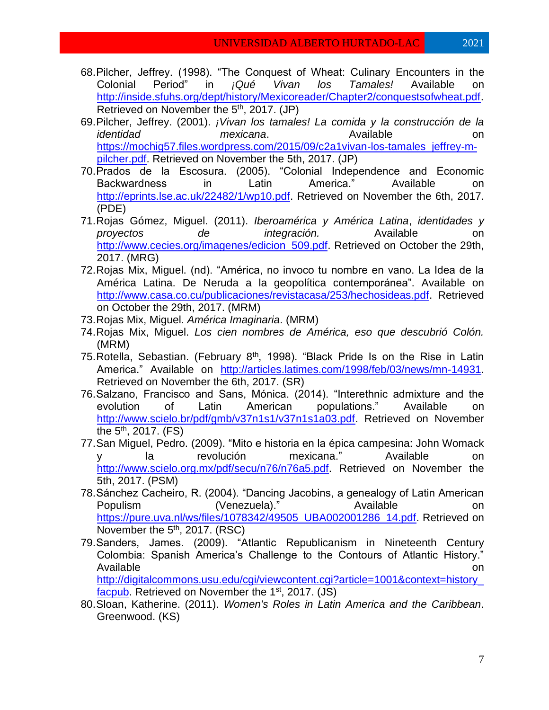- 68.Pilcher, Jeffrey. (1998). "The Conquest of Wheat: Culinary Encounters in the Colonial Period" in *¡Qué Vivan los Tamales!* Available on [http://inside.sfuhs.org/dept/history/Mexicoreader/Chapter2/conquestsofwheat.pdf.](http://inside.sfuhs.org/dept/history/Mexicoreader/Chapter2/conquestsofwheat.pdf) Retrieved on November the 5<sup>th</sup>, 2017. (JP)
- 69.Pilcher, Jeffrey. (2001). *¡Vivan los tamales! La comida y la construcción de la identidad mexicana*. Available on [https://mochig57.files.wordpress.com/2015/09/c2a1vivan-los-tamales\\_jeffrey-m](https://mochig57.files.wordpress.com/2015/09/c2a1vivan-los-tamales_jeffrey-m-pilcher.pdf)[pilcher.pdf.](https://mochig57.files.wordpress.com/2015/09/c2a1vivan-los-tamales_jeffrey-m-pilcher.pdf) Retrieved on November the 5th, 2017. (JP)
- 70.Prados de la Escosura. (2005). "Colonial Independence and Economic Backwardness in Latin America." Available on [http://eprints.lse.ac.uk/22482/1/wp10.pdf.](http://eprints.lse.ac.uk/22482/1/wp10.pdf) Retrieved on November the 6th, 2017. (PDE)
- 71.Rojas Gómez, Miguel. (2011). *Iberoamérica y América Latina*, *identidades y proyectos de integración.* Available on [http://www.cecies.org/imagenes/edicion\\_509.pdf.](http://www.cecies.org/imagenes/edicion_509.pdf) Retrieved on October the 29th, 2017. (MRG)
- 72.Rojas Mix, Miguel. (nd). "América, no invoco tu nombre en vano. La Idea de la América Latina. De Neruda a la geopolítica contemporánea". Available on [http://www.casa.co.cu/publicaciones/revistacasa/253/hechosideas.pdf.](http://www.casa.co.cu/publicaciones/revistacasa/253/hechosideas.pdf) Retrieved on October the 29th, 2017. (MRM)
- 73.Rojas Mix, Miguel. *América Imaginaria*. (MRM)
- 74.Rojas Mix, Miguel. *Los cien nombres de América, eso que descubrió Colón.* (MRM)
- 75. Rotella, Sebastian. (February  $8<sup>th</sup>$ , 1998). "Black Pride Is on the Rise in Latin America." Available on [http://articles.latimes.com/1998/feb/03/news/mn-14931.](http://articles.latimes.com/1998/feb/03/news/mn-14931) Retrieved on November the 6th, 2017. (SR)
- 76.Salzano, Francisco and Sans, Mónica. (2014). "Interethnic admixture and the evolution of Latin American populations." Available on [http://www.scielo.br/pdf/gmb/v37n1s1/v37n1s1a03.pdf.](http://www.scielo.br/pdf/gmb/v37n1s1/v37n1s1a03.pdf) Retrieved on November the 5<sup>th</sup>, 2017. (FS)
- 77.San Miguel, Pedro. (2009). "Mito e historia en la épica campesina: John Womack y la revolución mexicana." Available on [http://www.scielo.org.mx/pdf/secu/n76/n76a5.pdf.](http://www.scielo.org.mx/pdf/secu/n76/n76a5.pdf) Retrieved on November the 5th, 2017. (PSM)
- 78.Sánchez Cacheiro, R. (2004). "Dancing Jacobins, a genealogy of Latin American Populism (Venezuela)." Available on [https://pure.uva.nl/ws/files/1078342/49505\\_UBA002001286\\_14.pdf.](https://pure.uva.nl/ws/files/1078342/49505_UBA002001286_14.pdf) Retrieved on November the  $5<sup>th</sup>$ , 2017. (RSC)
- 79.Sanders, James. (2009). "Atlantic Republicanism in Nineteenth Century Colombia: Spanish America's Challenge to the Contours of Atlantic History." Available **on** an about the contract of the contract of the contract of the contract on  $\alpha$ [http://digitalcommons.usu.edu/cgi/viewcontent.cgi?article=1001&context=history\\_](http://digitalcommons.usu.edu/cgi/viewcontent.cgi?article=1001&context=history_facpub)
- [facpub.](http://digitalcommons.usu.edu/cgi/viewcontent.cgi?article=1001&context=history_facpub) Retrieved on November the 1<sup>st</sup>, 2017. (JS) 80.Sloan, Katherine. (2011). *Women's Roles in Latin America and the Caribbean*. Greenwood. (KS)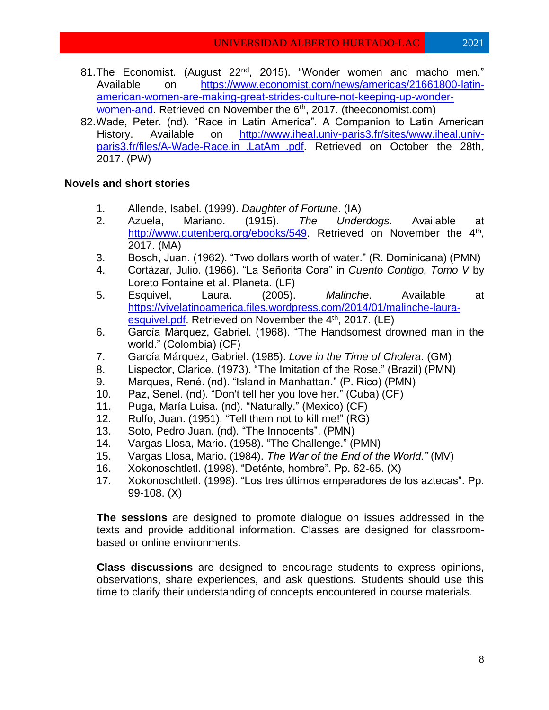- 81. The Economist. (August 22<sup>nd</sup>, 2015). "Wonder women and macho men." Available on [https://www.economist.com/news/americas/21661800-latin](https://www.economist.com/news/americas/21661800-latin-american-women-are-making-great-strides-culture-not-keeping-up-wonder-women-and)[american-women-are-making-great-strides-culture-not-keeping-up-wonder](https://www.economist.com/news/americas/21661800-latin-american-women-are-making-great-strides-culture-not-keeping-up-wonder-women-and)[women-and.](https://www.economist.com/news/americas/21661800-latin-american-women-are-making-great-strides-culture-not-keeping-up-wonder-women-and) Retrieved on November the 6<sup>th</sup>, 2017. (theeconomist.com)
- 82.Wade, Peter. (nd). "Race in Latin America". A Companion to Latin American History. Available on [http://www.iheal.univ-paris3.fr/sites/www.iheal.univ](http://www.iheal.univ-paris3.fr/sites/www.iheal.univ-paris3.fr/files/A-Wade-Race.in_.LatAm_.pdf)[paris3.fr/files/A-Wade-Race.in\\_.LatAm\\_.pdf.](http://www.iheal.univ-paris3.fr/sites/www.iheal.univ-paris3.fr/files/A-Wade-Race.in_.LatAm_.pdf) Retrieved on October the 28th, 2017. (PW)

## **Novels and short stories**

- 1. Allende, Isabel. (1999). *Daughter of Fortune*. (IA)
- 2. Azuela, Mariano. (1915). *The Underdogs*. Available at [http://www.gutenberg.org/ebooks/549.](http://www.gutenberg.org/ebooks/549) Retrieved on November the 4<sup>th</sup>, 2017. (MA)
- 3. Bosch, Juan. (1962). "Two dollars worth of water." (R. Dominicana) (PMN)
- 4. Cortázar, Julio. (1966). "La Señorita Cora" in *Cuento Contigo, Tomo V* by Loreto Fontaine et al. Planeta. (LF)
- 5. Esquivel, Laura. (2005). *Malinche*. Available at [https://vivelatinoamerica.files.wordpress.com/2014/01/malinche-laura](https://vivelatinoamerica.files.wordpress.com/2014/01/malinche-laura-esquivel.pdf)[esquivel.pdf.](https://vivelatinoamerica.files.wordpress.com/2014/01/malinche-laura-esquivel.pdf) Retrieved on November the 4<sup>th</sup>, 2017. (LE)
- 6. García Márquez, Gabriel. (1968). "The Handsomest drowned man in the world." (Colombia) (CF)
- 7. García Márquez, Gabriel. (1985). *Love in the Time of Cholera*. (GM)
- 8. Lispector, Clarice. (1973). "The Imitation of the Rose." (Brazil) (PMN)
- 9. Marques, René. (nd). "Island in Manhattan." (P. Rico) (PMN)
- 10. Paz, Senel. (nd). "Don't tell her you love her." (Cuba) (CF)
- 11. Puga, María Luisa. (nd). "Naturally." (Mexico) (CF)
- 12. Rulfo, Juan. (1951). "Tell them not to kill me!" (RG)
- 13. Soto, Pedro Juan. (nd). "The Innocents". (PMN)
- 14. Vargas Llosa, Mario. (1958). "The Challenge." (PMN)
- 15. Vargas Llosa, Mario. (1984). *The War of the End of the World."* (MV)
- 16. Xokonoschtletl. (1998). "Deténte, hombre". Pp. 62-65. (X)
- 17. Xokonoschtletl. (1998). "Los tres últimos emperadores de los aztecas". Pp. 99-108. (X)

**The sessions** are designed to promote dialogue on issues addressed in the texts and provide additional information. Classes are designed for classroombased or online environments.

**Class discussions** are designed to encourage students to express opinions, observations, share experiences, and ask questions. Students should use this time to clarify their understanding of concepts encountered in course materials.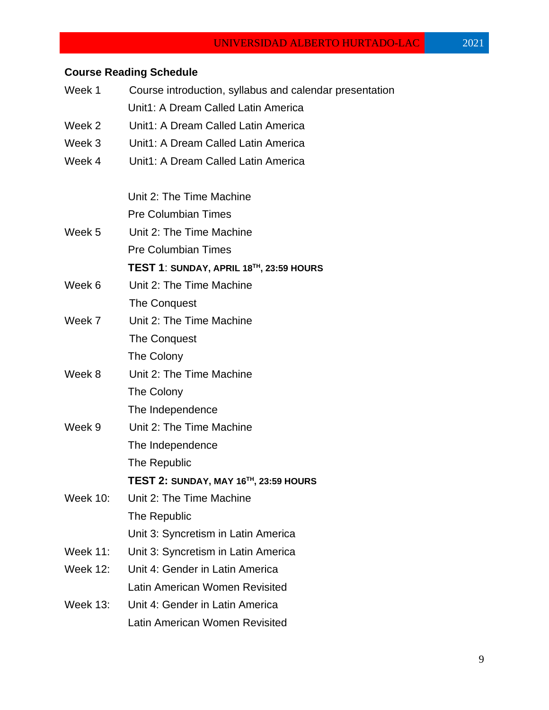## UNIVERSIDAD ALBERTO HURTADO-LAC 2021

# **Course Reading Schedule**

| Week 1          | Course introduction, syllabus and calendar presentation |  |  |
|-----------------|---------------------------------------------------------|--|--|
|                 | Unit1: A Dream Called Latin America                     |  |  |
| Week 2          | Unit1: A Dream Called Latin America                     |  |  |
| Week 3          | Unit1: A Dream Called Latin America                     |  |  |
| Week 4          | Unit1: A Dream Called Latin America                     |  |  |
|                 | Unit 2: The Time Machine                                |  |  |
|                 | <b>Pre Columbian Times</b>                              |  |  |
| Week 5          | Unit 2: The Time Machine                                |  |  |
|                 | <b>Pre Columbian Times</b>                              |  |  |
|                 | TEST 1: SUNDAY, APRIL 18 <sup>TH</sup> , 23:59 HOURS    |  |  |
| Week 6          | Unit 2: The Time Machine                                |  |  |
|                 | The Conquest                                            |  |  |
| Week 7          | Unit 2: The Time Machine                                |  |  |
|                 | The Conquest                                            |  |  |
|                 | The Colony                                              |  |  |
| Week 8          | Unit 2: The Time Machine                                |  |  |
|                 | The Colony                                              |  |  |
|                 | The Independence                                        |  |  |
| Week 9          | Unit 2: The Time Machine                                |  |  |
|                 | The Independence                                        |  |  |
|                 | The Republic                                            |  |  |
|                 | TEST 2: SUNDAY, MAY 16 <sup>TH</sup> , 23:59 HOURS      |  |  |
| <b>Week 10:</b> | Unit 2: The Time Machine                                |  |  |
|                 | The Republic                                            |  |  |
|                 | Unit 3: Syncretism in Latin America                     |  |  |
| Week 11:        | Unit 3: Syncretism in Latin America                     |  |  |
| <b>Week 12:</b> | Unit 4: Gender in Latin America                         |  |  |
|                 | Latin American Women Revisited                          |  |  |
| <b>Week 13:</b> | Unit 4: Gender in Latin America                         |  |  |
|                 | Latin American Women Revisited                          |  |  |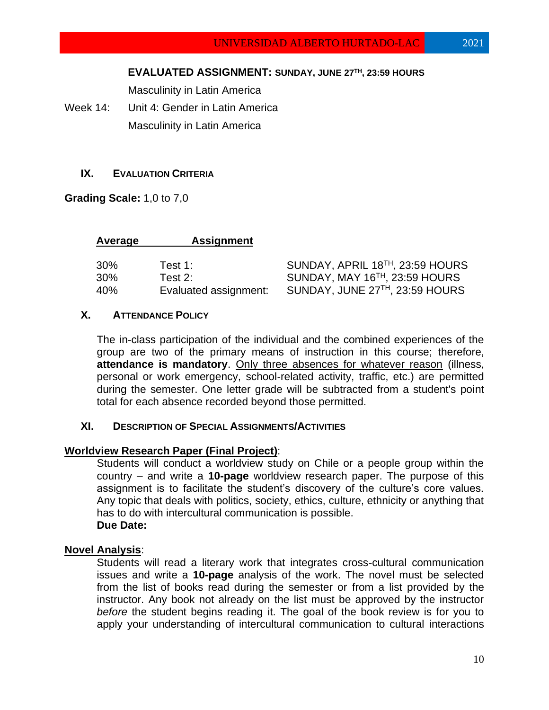Masculinity in Latin America

Week 14: Unit 4: Gender in Latin America Masculinity in Latin America

## **IX. EVALUATION CRITERIA**

**Grading Scale:** 1,0 to 7,0

| Average | <b>Assignment</b>     |                                              |
|---------|-----------------------|----------------------------------------------|
| 30%     | Test 1:               | SUNDAY, APRIL 18 <sup>TH</sup> , 23:59 HOURS |
| 30%     | Test $2:$             | SUNDAY, MAY 16TH, 23:59 HOURS                |
| 40%     | Evaluated assignment: | SUNDAY, JUNE 27TH, 23:59 HOURS               |

### **X. ATTENDANCE POLICY**

The in-class participation of the individual and the combined experiences of the group are two of the primary means of instruction in this course; therefore, **attendance is mandatory**. Only three absences for whatever reason (illness, personal or work emergency, school-related activity, traffic, etc.) are permitted during the semester. One letter grade will be subtracted from a student's point total for each absence recorded beyond those permitted.

## **XI. DESCRIPTION OF SPECIAL ASSIGNMENTS/ACTIVITIES**

## **Worldview Research Paper (Final Project)**:

Students will conduct a worldview study on Chile or a people group within the country – and write a **10-page** worldview research paper. The purpose of this assignment is to facilitate the student's discovery of the culture's core values. Any topic that deals with politics, society, ethics, culture, ethnicity or anything that has to do with intercultural communication is possible. **Due Date:** 

## **Novel Analysis**:

Students will read a literary work that integrates cross-cultural communication issues and write a **10-page** analysis of the work. The novel must be selected from the list of books read during the semester or from a list provided by the instructor. Any book not already on the list must be approved by the instructor *before* the student begins reading it. The goal of the book review is for you to apply your understanding of intercultural communication to cultural interactions